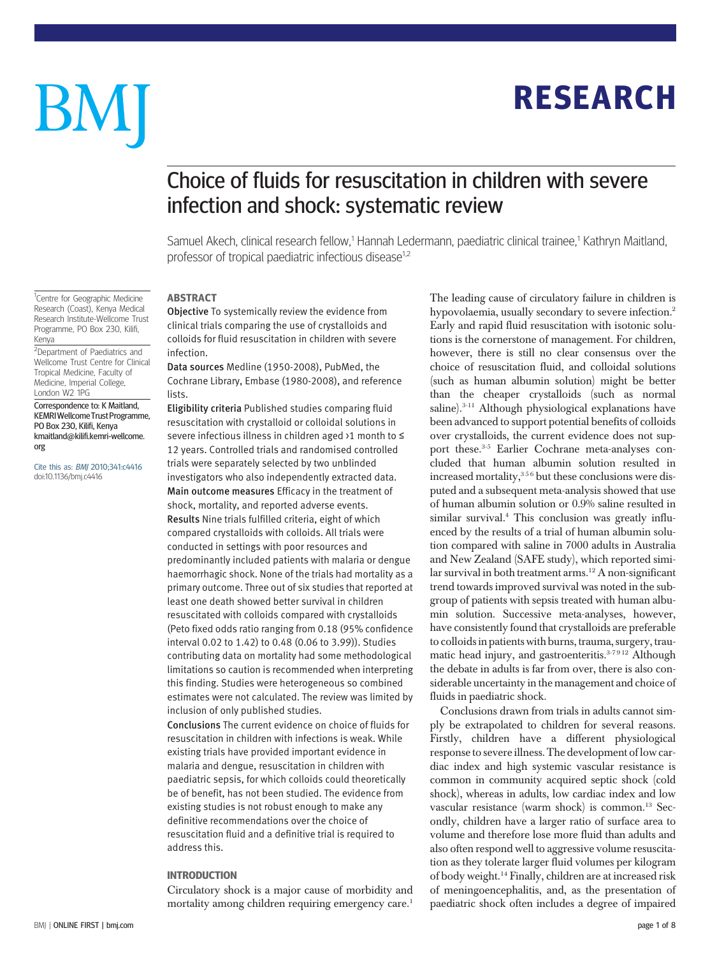# **RESEARCH** RESEARCH

# BM

# Choice of fluids for resuscitation in children with severe infection and shock: systematic review

Samuel Akech, clinical research fellow,<sup>1</sup> Hannah Ledermann, paediatric clinical trainee,<sup>1</sup> Kathryn Maitland, professor of tropical paediatric infectious disease<sup>1,2</sup>

#### **ARSTRACT**

Objective To systemically review the evidence from clinical trials comparing the use of crystalloids and colloids for fluid resuscitation in children with severe infection.

Data sources Medline (1950-2008), PubMed, the Cochrane Library, Embase (1980-2008), and reference lists.

Eligibility criteria Published studies comparing fluid resuscitation with crystalloid or colloidal solutions in severe infectious illness in children aged >1 month to ≤ 12 years. Controlled trials and randomised controlled trials were separately selected by two unblinded investigators who also independently extracted data. Main outcome measures Efficacy in the treatment of shock, mortality, and reported adverse events. Results Nine trials fulfilled criteria, eight of which compared crystalloids with colloids. All trials were conducted in settings with poor resources and predominantly included patients with malaria or dengue haemorrhagic shock. None of the trials had mortality as a primary outcome. Three out of six studies that reported at least one death showed better survival in children resuscitated with colloids compared with crystalloids (Peto fixed odds ratio ranging from 0.18 (95% confidence interval 0.02 to 1.42) to 0.48 (0.06 to 3.99)). Studies contributing data on mortality had some methodological limitations so caution is recommended when interpreting this finding. Studies were heterogeneous so combined estimates were not calculated. The review was limited by inclusion of only published studies.

Conclusions The current evidence on choice of fluids for resuscitation in children with infections is weak. While existing trials have provided important evidence in malaria and dengue, resuscitation in children with paediatric sepsis, for which colloids could theoretically be of benefit, has not been studied. The evidence from existing studies is not robust enough to make any definitive recommendations over the choice of resuscitation fluid and a definitive trial is required to address this.

#### **INTRODUCTION**

INTRODUCTION<br>Circulatory shock is a major cause of morbidity and mortality among children requiring emergency care.<sup>1</sup> The leading cause of circulatory failure in children is hypovolaemia, usually secondary to severe infection.2 Early and rapid fluid resuscitation with isotonic solutions is the cornerstone of management. For children, however, there is still no clear consensus over the choice of resuscitation fluid, and colloidal solutions (such as human albumin solution) might be better than the cheaper crystalloids (such as normal saline).<sup>3-11</sup> Although physiological explanations have been advanced to support potential benefits of colloids over crystalloids, the current evidence does not support these.<sup>3-5</sup> Earlier Cochrane meta-analyses concluded that human albumin solution resulted in increased mortality,356 but these conclusions were disputed and a subsequent meta-analysis showed that use of human albumin solution or 0.9% saline resulted in similar survival.<sup>4</sup> This conclusion was greatly influenced by the results of a trial of human albumin solution compared with saline in 7000 adults in Australia and New Zealand (SAFE study), which reported similar survival in both treatment arms.<sup>12</sup> A non-significant trend towards improved survival was noted in the subgroup of patients with sepsis treated with human albumin solution. Successive meta-analyses, however, have consistently found that crystalloids are preferable to colloids in patients with burns, trauma, surgery, traumatic head injury, and gastroenteritis.<sup>3-7912</sup> Although the debate in adults is far from over, there is also considerable uncertainty in the management and choice of fluids in paediatric shock.

Conclusions drawn from trials in adults cannot simply be extrapolated to children for several reasons. Firstly, children have a different physiological response to severe illness. The development of low cardiac index and high systemic vascular resistance is common in community acquired septic shock (cold shock), whereas in adults, low cardiac index and low vascular resistance (warm shock) is common.13 Secondly, children have a larger ratio of surface area to volume and therefore lose more fluid than adults and also often respond well to aggressive volume resuscitation as they tolerate larger fluid volumes per kilogram of body weight.14 Finally, children are at increased risk of meningoencephalitis, and, as the presentation of paediatric shock often includes a degree of impaired

<sup>1</sup>Centre for Geographic Medicine Research (Coast), Kenya Medical Research Institute-Wellcome Trust Programme, PO Box 230, Kilifi, Kenya

<sup>2</sup>Department of Paediatrics and Wellcome Trust Centre for Clinical Tropical Medicine, Faculty of Medicine, Imperial College, London W2 1PG

Correspondence to: K Maitland, KEMRIWellcomeTrustProgramme, PO Box 230, Kilifi, Kenya kmaitland@kilifi.kemri-wellcome. org

Cite this as: BMJ 2010;341:c4416 doi:10.1136/bmj.c4416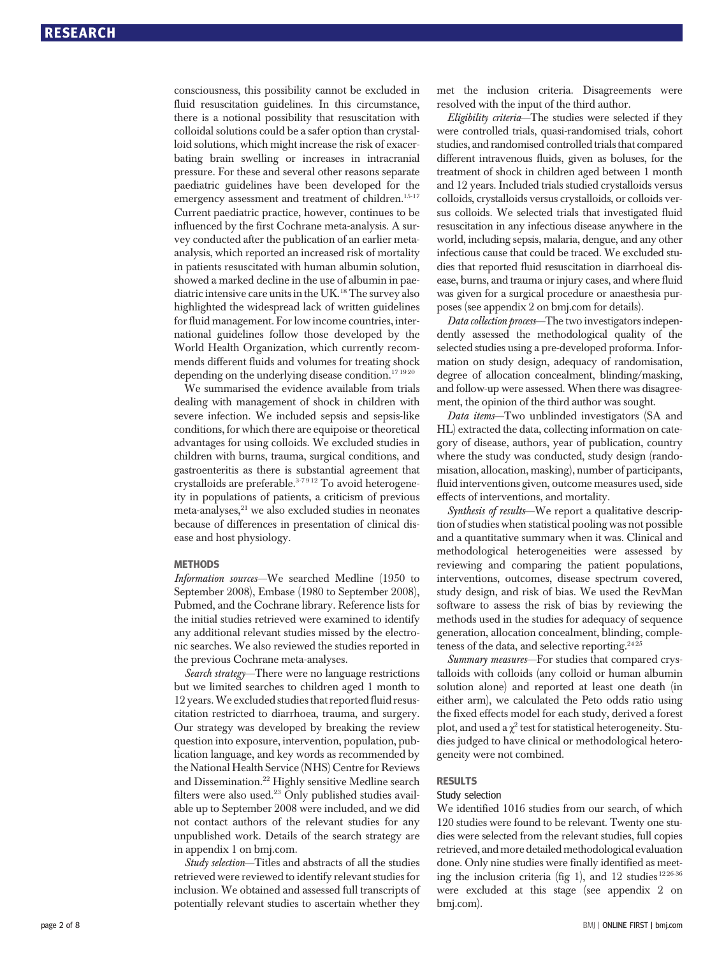consciousness, this possibility cannot be excluded in fluid resuscitation guidelines. In this circumstance, there is a notional possibility that resuscitation with colloidal solutions could be a safer option than crystalloid solutions, which might increase the risk of exacerbating brain swelling or increases in intracranial pressure. For these and several other reasons separate paediatric guidelines have been developed for the emergency assessment and treatment of children.<sup>15-17</sup> Current paediatric practice, however, continues to be influenced by the first Cochrane meta-analysis. A survey conducted after the publication of an earlier metaanalysis, which reported an increased risk of mortality in patients resuscitated with human albumin solution, showed a marked decline in the use of albumin in paediatric intensive care units in the UK.<sup>18</sup> The survey also highlighted the widespread lack of written guidelines for fluid management. For low income countries, international guidelines follow those developed by the World Health Organization, which currently recommends different fluids and volumes for treating shock depending on the underlying disease condition.  $^{17\,19\,20}$ 

We summarised the evidence available from trials dealing with management of shock in children with severe infection. We included sepsis and sepsis-like conditions, for which there are equipoise or theoretical advantages for using colloids. We excluded studies in children with burns, trauma, surgical conditions, and gastroenteritis as there is substantial agreement that crystalloids are preferable.<sup>3-7912</sup> To avoid heterogeneity in populations of patients, a criticism of previous meta-analyses,<sup>21</sup> we also excluded studies in neonates because of differences in presentation of clinical disease and host physiology.

#### **METHODS**

Information sources—We searched Medline (1950 to September 2008), Embase (1980 to September 2008), Pubmed, and the Cochrane library. Reference lists for the initial studies retrieved were examined to identify any additional relevant studies missed by the electronic searches. We also reviewed the studies reported in the previous Cochrane meta-analyses.

Search strategy—There were no language restrictions but we limited searches to children aged 1 month to 12 years.We excluded studies that reported fluid resuscitation restricted to diarrhoea, trauma, and surgery. Our strategy was developed by breaking the review question into exposure, intervention, population, publication language, and key words as recommended by the National Health Service (NHS) Centre for Reviews and Dissemination.22 Highly sensitive Medline search filters were also used.23 Only published studies available up to September 2008 were included, and we did not contact authors of the relevant studies for any unpublished work. Details of the search strategy are in appendix 1 on bmj.com.

Study selection—Titles and abstracts of all the studies retrieved were reviewed to identify relevant studies for inclusion. We obtained and assessed full transcripts of potentially relevant studies to ascertain whether they met the inclusion criteria. Disagreements were resolved with the input of the third author.

Eligibility criteria—The studies were selected if they were controlled trials, quasi-randomised trials, cohort studies, and randomised controlled trials that compared different intravenous fluids, given as boluses, for the treatment of shock in children aged between 1 month and 12 years. Included trials studied crystalloids versus colloids, crystalloids versus crystalloids, or colloids versus colloids. We selected trials that investigated fluid resuscitation in any infectious disease anywhere in the world, including sepsis, malaria, dengue, and any other infectious cause that could be traced. We excluded studies that reported fluid resuscitation in diarrhoeal disease, burns, and trauma or injury cases, and where fluid was given for a surgical procedure or anaesthesia purposes (see appendix 2 on bmj.com for details).

Data collection process—The two investigators independently assessed the methodological quality of the selected studies using a pre-developed proforma. Information on study design, adequacy of randomisation, degree of allocation concealment, blinding/masking, and follow-up were assessed. When there was disagreement, the opinion of the third author was sought.

Data items—Two unblinded investigators (SA and HL) extracted the data, collecting information on category of disease, authors, year of publication, country where the study was conducted, study design (randomisation, allocation, masking), number of participants, fluid interventions given, outcome measures used, side effects of interventions, and mortality.

Synthesis of results—We report a qualitative description of studies when statistical pooling was not possible and a quantitative summary when it was. Clinical and methodological heterogeneities were assessed by reviewing and comparing the patient populations, interventions, outcomes, disease spectrum covered, study design, and risk of bias. We used the RevMan software to assess the risk of bias by reviewing the methods used in the studies for adequacy of sequence generation, allocation concealment, blinding, completeness of the data, and selective reporting. $2425$ 

Summary measures—For studies that compared crystalloids with colloids (any colloid or human albumin solution alone) and reported at least one death (in either arm), we calculated the Peto odds ratio using the fixed effects model for each study, derived a forest plot, and used a  $\chi^2$  test for statistical heterogeneity. Studies judged to have clinical or methodological heterogeneity were not combined.

# Study selection

We identified 1016 studies from our search, of which 120 studies were found to be relevant. Twenty one studies were selected from the relevant studies, full copies retrieved, and more detailed methodological evaluation done. Only nine studies were finally identified as meeting the inclusion criteria (fig 1), and 12 studies  $1226-36$ were excluded at this stage (see appendix 2 on bmj.com).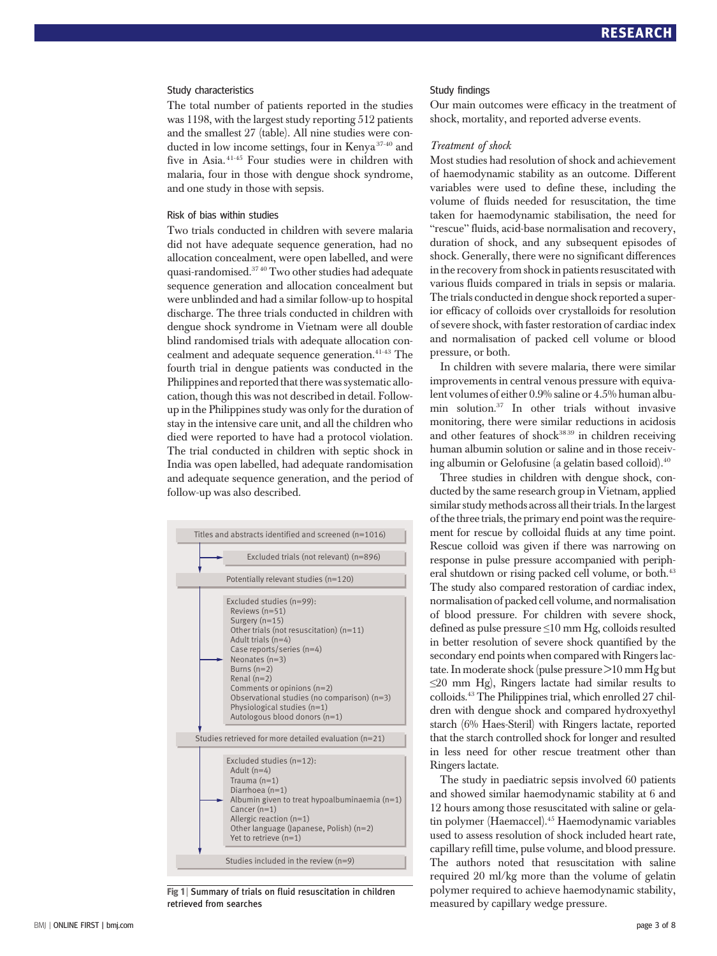#### Study characteristics

The total number of patients reported in the studies was 1198, with the largest study reporting 512 patients and the smallest 27 (table). All nine studies were conducted in low income settings, four in Kenya 37-40 and five in Asia. 41-45 Four studies were in children with malaria, four in those with dengue shock syndrome, and one study in those with sepsis.

#### Risk of bias within studies

Two trials conducted in children with severe malaria did not have adequate sequence generation, had no allocation concealment, were open labelled, and were quasi-randomised.37 40 Two other studies had adequate sequence generation and allocation concealment but were unblinded and had a similar follow-up to hospital discharge. The three trials conducted in children with dengue shock syndrome in Vietnam were all double blind randomised trials with adequate allocation concealment and adequate sequence generation.41-43 The fourth trial in dengue patients was conducted in the Philippines and reported that there was systematic allocation, though this was not described in detail. Followup in the Philippines study was only for the duration of stay in the intensive care unit, and all the children who died were reported to have had a protocol violation. The trial conducted in children with septic shock in India was open labelled, had adequate randomisation and adequate sequence generation, and the period of follow-up was also described.



Fig 1 | Summary of trials on fluid resuscitation in children retrieved from searches

#### Study findings

Our main outcomes were efficacy in the treatment of shock, mortality, and reported adverse events.

#### Treatment of shock

Most studies had resolution of shock and achievement of haemodynamic stability as an outcome. Different variables were used to define these, including the volume of fluids needed for resuscitation, the time taken for haemodynamic stabilisation, the need for "rescue" fluids, acid-base normalisation and recovery, duration of shock, and any subsequent episodes of shock. Generally, there were no significant differences in the recovery from shock in patients resuscitated with various fluids compared in trials in sepsis or malaria. The trials conducted in dengue shock reported a superior efficacy of colloids over crystalloids for resolution of severe shock, with faster restoration of cardiac index and normalisation of packed cell volume or blood pressure, or both.

In children with severe malaria, there were similar improvements in central venous pressure with equivalent volumes of either 0.9% saline or 4.5% human albumin solution.37 In other trials without invasive monitoring, there were similar reductions in acidosis and other features of shock<sup>38 39</sup> in children receiving human albumin solution or saline and in those receiving albumin or Gelofusine (a gelatin based colloid).40

Three studies in children with dengue shock, conducted by the same research group in Vietnam, applied similar study methods across all their trials. In the largest of the three trials, the primary end point was the requirement for rescue by colloidal fluids at any time point. Rescue colloid was given if there was narrowing on response in pulse pressure accompanied with peripheral shutdown or rising packed cell volume, or both.<sup>43</sup> The study also compared restoration of cardiac index, normalisation of packed cell volume, and normalisation of blood pressure. For children with severe shock, defined as pulse pressure ≤10 mm Hg, colloids resulted in better resolution of severe shock quantified by the secondary end points when compared with Ringers lactate. In moderate shock (pulse pressure >10 mm Hg but  $\leq$ 20 mm Hg), Ringers lactate had similar results to colloids.43 The Philippines trial, which enrolled 27 children with dengue shock and compared hydroxyethyl starch (6% Haes-Steril) with Ringers lactate, reported that the starch controlled shock for longer and resulted in less need for other rescue treatment other than Ringers lactate.

The study in paediatric sepsis involved 60 patients and showed similar haemodynamic stability at 6 and 12 hours among those resuscitated with saline or gelatin polymer (Haemaccel).<sup>45</sup> Haemodynamic variables used to assess resolution of shock included heart rate, capillary refill time, pulse volume, and blood pressure. The authors noted that resuscitation with saline required 20 ml/kg more than the volume of gelatin polymer required to achieve haemodynamic stability, measured by capillary wedge pressure.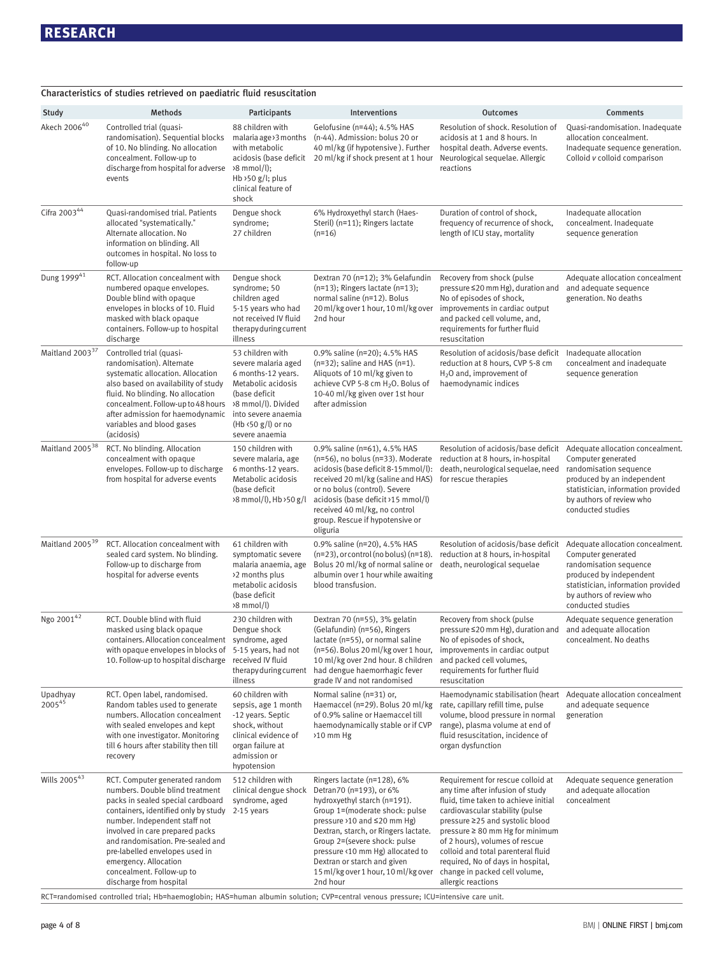| Characteristics of studies retrieved on paediatric fluid resuscitation |                                                                                                                                                                                                                                                                                                                                                                            |                                                                                                                                                                                                                    |                                                                                                                                                                                                                                                                                                                                                             |                                                                                                                                                                                                                                                                                                                                                                                                 |                                                                                                                                                                   |  |  |  |  |  |  |
|------------------------------------------------------------------------|----------------------------------------------------------------------------------------------------------------------------------------------------------------------------------------------------------------------------------------------------------------------------------------------------------------------------------------------------------------------------|--------------------------------------------------------------------------------------------------------------------------------------------------------------------------------------------------------------------|-------------------------------------------------------------------------------------------------------------------------------------------------------------------------------------------------------------------------------------------------------------------------------------------------------------------------------------------------------------|-------------------------------------------------------------------------------------------------------------------------------------------------------------------------------------------------------------------------------------------------------------------------------------------------------------------------------------------------------------------------------------------------|-------------------------------------------------------------------------------------------------------------------------------------------------------------------|--|--|--|--|--|--|
| Study                                                                  | <b>Methods</b>                                                                                                                                                                                                                                                                                                                                                             | Participants                                                                                                                                                                                                       | <b>Interventions</b>                                                                                                                                                                                                                                                                                                                                        | <b>Outcomes</b>                                                                                                                                                                                                                                                                                                                                                                                 | <b>Comments</b>                                                                                                                                                   |  |  |  |  |  |  |
| Akech 200640                                                           | Controlled trial (quasi-<br>randomisation). Sequential blocks<br>of 10. No blinding. No allocation<br>concealment. Follow-up to<br>discharge from hospital for adverse<br>events                                                                                                                                                                                           | 88 children with<br>malaria age > 3 months<br>with metabolic<br>acidosis (base deficit<br>$\frac{8}{2}$ mmol/l);<br>Hb >50 $g/l$ ; plus<br>clinical feature of<br>shock                                            | Gelofusine (n=44); 4.5% HAS<br>(n-44). Admission: bolus 20 or<br>40 ml/kg (if hypotensive). Further<br>20 ml/kg if shock present at 1 hour                                                                                                                                                                                                                  | Resolution of shock. Resolution of<br>acidosis at 1 and 8 hours. In<br>hospital death. Adverse events.<br>Neurological sequelae. Allergic<br>reactions                                                                                                                                                                                                                                          | Quasi-randomisation. Inadequate<br>allocation concealment.<br>Inadequate sequence generation.<br>Colloid v colloid comparison                                     |  |  |  |  |  |  |
| Cifra 200344                                                           | Quasi-randomised trial. Patients<br>allocated "systematically."<br>Alternate allocation. No<br>information on blinding. All<br>outcomes in hospital. No loss to<br>follow-up                                                                                                                                                                                               | Dengue shock<br>syndrome;<br>27 children                                                                                                                                                                           | 6% Hydroxyethyl starch (Haes-<br>Steril) (n=11); Ringers lactate<br>$(n=16)$                                                                                                                                                                                                                                                                                | Duration of control of shock,<br>frequency of recurrence of shock,<br>length of ICU stay, mortality                                                                                                                                                                                                                                                                                             | Inadequate allocation<br>concealment. Inadequate<br>sequence generation                                                                                           |  |  |  |  |  |  |
| Dung 1999 <sup>41</sup>                                                | RCT. Allocation concealment with<br>numbered opaque envelopes.<br>Double blind with opaque<br>envelopes in blocks of 10. Fluid<br>masked with black opaque<br>containers. Follow-up to hospital<br>discharge                                                                                                                                                               | Dengue shock<br>syndrome; 50<br>children aged<br>5-15 years who had<br>not received IV fluid<br>therapy during current<br>illness                                                                                  | Dextran 70 (n=12); 3% Gelafundin<br>$(n=13)$ ; Ringers lactate $(n=13)$ ;<br>normal saline (n=12). Bolus<br>20 ml/kg over 1 hour, 10 ml/kg over<br>2nd hour                                                                                                                                                                                                 | Recovery from shock (pulse<br>pressure ≤20 mm Hg), duration and<br>No of episodes of shock,<br>improvements in cardiac output<br>and packed cell volume, and,<br>requirements for further fluid<br>resuscitation                                                                                                                                                                                | Adequate allocation concealment<br>and adequate sequence<br>generation. No deaths                                                                                 |  |  |  |  |  |  |
| Maitland 2003 <sup>37</sup>                                            | Controlled trial (quasi-<br>randomisation). Alternate<br>systematic allocation. Allocation<br>also based on availability of study<br>fluid. No blinding. No allocation<br>concealment. Follow-up to 48 hours<br>after admission for haemodynamic<br>variables and blood gases<br>(acidosis)                                                                                | 53 children with<br>severe malaria aged<br>6 months-12 years.<br>Metabolic acidosis<br>(base deficit<br>>8 mmol/l). Divided<br>into severe anaemia<br>(Hb $\langle 50 \text{ g/l} \rangle$ or no<br>severe anaemia | 0.9% saline (n=20); 4.5% HAS<br>$(n=32)$ ; saline and HAS $(n=1)$ .<br>Aliquots of 10 ml/kg given to<br>achieve CVP 5-8 cm H <sub>2</sub> O. Bolus of<br>10-40 ml/kg given over 1st hour<br>after admission                                                                                                                                                 | Resolution of acidosis/base deficit Inadequate allocation<br>reduction at 8 hours, CVP 5-8 cm<br>H <sub>2</sub> O and, improvement of<br>haemodynamic indices                                                                                                                                                                                                                                   | concealment and inadequate<br>sequence generation                                                                                                                 |  |  |  |  |  |  |
| Maitland 2005 <sup>38</sup>                                            | RCT. No blinding. Allocation<br>concealment with opaque<br>envelopes. Follow-up to discharge<br>from hospital for adverse events                                                                                                                                                                                                                                           | 150 children with<br>severe malaria, age<br>6 months-12 years.<br>Metabolic acidosis<br>(base deficit<br>>8 mmol/l), Hb > 50 g/l                                                                                   | 0.9% saline (n=61), 4.5% HAS<br>$(n=56)$ , no bolus $(n=33)$ . Moderate<br>acidosis (base deficit 8-15mmol/l):<br>received 20 ml/kg (saline and HAS)<br>or no bolus (control). Severe<br>acidosis (base deficit >15 mmol/l)<br>received 40 ml/kg, no control<br>group. Rescue if hypotensive or<br>oliguria                                                 | Resolution of acidosis/base deficit Adequate allocation concealment.<br>reduction at 8 hours, in-hospital<br>death, neurological sequelae, need<br>for rescue therapies                                                                                                                                                                                                                         | Computer generated<br>randomisation sequence<br>produced by an independent<br>statistician, information provided<br>by authors of review who<br>conducted studies |  |  |  |  |  |  |
| Maitland 2005 <sup>39</sup>                                            | RCT. Allocation concealment with<br>sealed card system. No blinding.<br>Follow-up to discharge from<br>hospital for adverse events                                                                                                                                                                                                                                         | 61 children with<br>symptomatic severe<br>malaria anaemia, age<br>>2 months plus<br>metabolic acidosis<br>(base deficit<br>>8 mmol/l)                                                                              | 0.9% saline (n=20), 4.5% HAS<br>$(n=23)$ , or control (no bolus) $(n=18)$ .<br>Bolus 20 ml/kg of normal saline or<br>albumin over 1 hour while awaiting<br>blood transfusion.                                                                                                                                                                               | Resolution of acidosis/base deficit Adequate allocation concealment.<br>reduction at 8 hours, in-hospital<br>death, neurological sequelae                                                                                                                                                                                                                                                       | Computer generated<br>randomisation sequence<br>produced by independent<br>statistician, information provided<br>by authors of review who<br>conducted studies    |  |  |  |  |  |  |
| Ngo 200142                                                             | RCT. Double blind with fluid<br>masked using black opaque<br>containers. Allocation concealment<br>with opaque envelopes in blocks of<br>10. Follow-up to hospital discharge                                                                                                                                                                                               | 230 children with<br>Dengue shock<br>syndrome, aged<br>5-15 years, had not<br>received IV fluid<br>therapy during current<br>illness                                                                               | Dextran 70 (n=55), 3% gelatin<br>(Gelafundin) (n=56), Ringers<br>lactate (n=55), or normal saline<br>(n=56). Bolus 20 ml/kg over 1 hour,<br>10 ml/kg over 2nd hour. 8 children<br>had dengue haemorrhagic fever<br>grade IV and not randomised                                                                                                              | Recovery from shock (pulse<br>$p$ pressure $\leq$ 20 mm Hg), duration and and adequate allocation<br>No of episodes of shock,<br>improvements in cardiac output<br>and packed cell volumes,<br>requirements for further fluid<br>resuscitation                                                                                                                                                  | Adequate sequence generation<br>concealment. No deaths                                                                                                            |  |  |  |  |  |  |
| Upadhyay<br>200545                                                     | RCT. Open label, randomised.<br>Random tables used to generate<br>numbers. Allocation concealment<br>with sealed envelopes and kept<br>with one investigator. Monitoring<br>till 6 hours after stability then till<br>recovery                                                                                                                                             | 60 children with<br>sepsis, age 1 month<br>-12 years. Septic<br>shock, without<br>clinical evidence of<br>organ failure at<br>admission or<br>hypotension                                                          | Normal saline (n=31) or,<br>Haemaccel (n=29). Bolus 20 ml/kg<br>of 0.9% saline or Haemaccel till<br>haemodynamically stable or if CVP<br>$>10$ mm Hg                                                                                                                                                                                                        | Haemodynamic stabilisation (heart Adequate allocation concealment<br>rate, capillary refill time, pulse<br>volume, blood pressure in normal<br>range), plasma volume at end of<br>fluid resuscitation, incidence of<br>organ dysfunction                                                                                                                                                        | and adequate sequence<br>generation                                                                                                                               |  |  |  |  |  |  |
| Wills 2005 <sup>43</sup>                                               | RCT. Computer generated random<br>numbers. Double blind treatment<br>packs in sealed special cardboard<br>containers, identified only by study<br>number. Independent staff not<br>involved in care prepared packs<br>and randomisation. Pre-sealed and<br>pre-labelled envelopes used in<br>emergency. Allocation<br>concealment. Follow-up to<br>discharge from hospital | 512 children with<br>clinical dengue shock<br>syndrome, aged<br>$2-15$ years                                                                                                                                       | Ringers lactate (n=128), 6%<br>Detran70 (n=193), or 6%<br>hydroxyethyl starch (n=191).<br>Group 1=(moderate shock: pulse<br>pressure >10 and $\leq$ 20 mm Hg)<br>Dextran, starch, or Ringers lactate.<br>Group 2=(severe shock: pulse<br>pressure <10 mm Hg) allocated to<br>Dextran or starch and given<br>15 ml/kg over 1 hour, 10 ml/kg over<br>2nd hour | Requirement for rescue colloid at<br>any time after infusion of study<br>fluid, time taken to achieve initial<br>cardiovascular stability (pulse<br>pressure ≥25 and systolic blood<br>pressure $\geq 80$ mm Hg for minimum<br>of 2 hours), volumes of rescue<br>colloid and total parenteral fluid<br>required, No of days in hospital,<br>change in packed cell volume,<br>allergic reactions | Adequate sequence generation<br>and adequate allocation<br>concealment                                                                                            |  |  |  |  |  |  |

RCT=randomised controlled trial; Hb=haemoglobin; HAS=human albumin solution; CVP=central venous pressure; ICU=intensive care unit.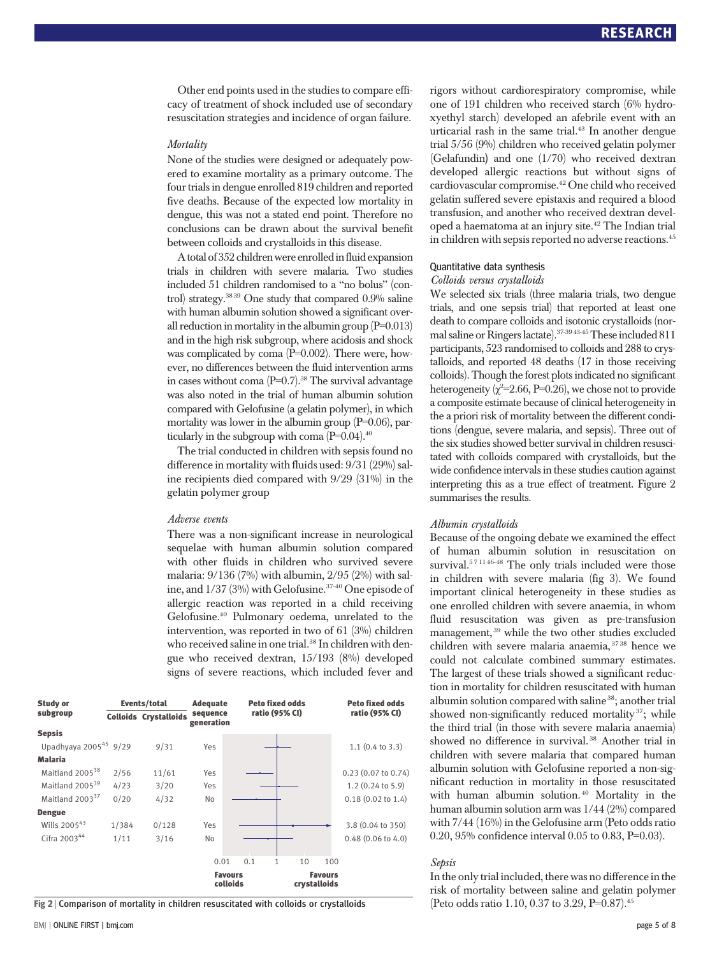Other end points used in the studies to compare efficacy of treatment of shock included use of secondary resuscitation strategies and incidence of organ failure.

#### **Mortality**

None of the studies were designed or adequately powered to examine mortality as a primary outcome. The four trials in dengue enrolled 819 children and reported five deaths. Because of the expected low mortality in dengue, this was not a stated end point. Therefore no conclusions can be drawn about the survival benefit between colloids and crystalloids in this disease.

Atotal of 352 children were enrolledinfluid expansion trials in children with severe malaria. Two studies included 51 children randomised to a "no bolus" (control) strategy.38 39 One study that compared 0.9% saline with human albumin solution showed a significant overall reduction in mortality in the albumin group (P=0.013) and in the high risk subgroup, where acidosis and shock was complicated by coma (P=0.002). There were, however, no differences between the fluid intervention arms in cases without coma  $(P=0.7)$ .<sup>38</sup> The survival advantage was also noted in the trial of human albumin solution compared with Gelofusine (a gelatin polymer), in which mortality was lower in the albumin group  $(P=0.06)$ , particularly in the subgroup with coma  $(P=0.04).40$ 

The trial conducted in children with sepsis found no difference in mortality with fluids used: 9/31 (29%) saline recipients died compared with 9/29 (31%) in the gelatin polymer group

#### Adverse events

There was a non-significant increase in neurological sequelae with human albumin solution compared with other fluids in children who survived severe malaria: 9/136 (7%) with albumin, 2/95 (2%) with saline, and 1/37 (3%) with Gelofusine.<sup>37-40</sup> One episode of allergic reaction was reported in a child receiving Gelofusine.40 Pulmonary oedema, unrelated to the intervention, was reported in two of 61 (3%) children who received saline in one trial.<sup>38</sup> In children with dengue who received dextran, 15/193 (8%) developed signs of severe reactions, which included fever and

| Study or                          | Events/total |                              | <b>Adequate</b>        |                            | <b>Peto fixed odds</b> |                                | <b>Peto fixed odds</b>       |
|-----------------------------------|--------------|------------------------------|------------------------|----------------------------|------------------------|--------------------------------|------------------------------|
| subgroup                          |              | <b>Colloids Crystalloids</b> | sequence<br>generation | ratio (95% CI)             |                        |                                | ratio (95% CI)               |
| Sepsis                            |              |                              |                        |                            |                        |                                |                              |
| Upadhyaya 2005 <sup>45</sup> 9/29 |              | 9/31                         | Yes                    |                            |                        |                                | $1.1$ (0.4 to 3.3)           |
| Malaria                           |              |                              |                        |                            |                        |                                |                              |
| Maitland 2005 <sup>38</sup>       | 2/56         | 11/61                        | Yes                    |                            |                        |                                | $0.23$ (0.07 to 0.74)        |
| Maitland 2005 <sup>39</sup>       | 4/23         | 3/20                         | Yes                    |                            |                        |                                | $1.2(0.24 \text{ to } 5.9)$  |
| Maitland 2003 <sup>37</sup>       | 0/20         | 4/32                         | No                     |                            |                        |                                | $0.18(0.02 \text{ to } 1.4)$ |
| Dengue                            |              |                              |                        |                            |                        |                                |                              |
| Wills 2005 <sup>43</sup>          | 1/384        | 0/128                        | Yes                    |                            |                        |                                | 3.8 (0.04 to 350)            |
| Cifra 2003 <sup>44</sup>          | 1/11         | 3/16                         | No                     |                            |                        |                                | $0.48(0.06 \text{ to } 4.0)$ |
|                                   |              |                              |                        |                            |                        |                                |                              |
|                                   |              |                              | 0.01                   | 0.1                        | $\mathbf{1}$<br>10     | 100                            |                              |
|                                   |              |                              |                        | <b>Favours</b><br>colloids |                        | <b>Favours</b><br>crystalloids |                              |

Fig 2 <sup>|</sup> Comparison of mortality in children resuscitated with colloids or crystalloids

rigors without cardiorespiratory compromise, while one of 191 children who received starch (6% hydroxyethyl starch) developed an afebrile event with an urticarial rash in the same trial.<sup>43</sup> In another dengue trial 5/56 (9%) children who received gelatin polymer (Gelafundin) and one (1/70) who received dextran developed allergic reactions but without signs of cardiovascular compromise.42 One child who received gelatin suffered severe epistaxis and required a blood transfusion, and another who received dextran developed a haematoma at an injury site.<sup>42</sup> The Indian trial in children with sepsis reported no adverse reactions.<sup>45</sup>

#### Quantitative data synthesis

#### Colloids versus crystalloids

We selected six trials (three malaria trials, two dengue trials, and one sepsis trial) that reported at least one death to compare colloids and isotonic crystalloids (normal saline or Ringers lactate).37-39 43-45These included 811 participants, 523 randomised to colloids and 288 to crystalloids, and reported 48 deaths (17 in those receiving colloids). Though the forest plots indicated no significant heterogeneity ( $\chi^2$ =2.66, P=0.26), we chose not to provide a composite estimate because of clinical heterogeneity in the a priori risk of mortality between the different conditions (dengue, severe malaria, and sepsis). Three out of the six studies showed better survival in children resuscitated with colloids compared with crystalloids, but the wide confidence intervals in these studies caution against interpreting this as a true effect of treatment. Figure 2 summarises the results.

#### Albumin crystalloids

Because of the ongoing debate we examined the effect of human albumin solution in resuscitation on survival.<sup>571146-48</sup> The only trials included were those in children with severe malaria (fig 3). We found important clinical heterogeneity in these studies as one enrolled children with severe anaemia, in whom fluid resuscitation was given as pre-transfusion management, <sup>39</sup> while the two other studies excluded children with severe malaria anaemia, <sup>3738</sup> hence we could not calculate combined summary estimates. The largest of these trials showed a significant reduction in mortality for children resuscitated with human albumin solution compared with saline 38; another trial showed non-significantly reduced mortality<sup>37</sup>; while the third trial (in those with severe malaria anaemia) showed no difference in survival. <sup>38</sup> Another trial in children with severe malaria that compared human albumin solution with Gelofusine reported a non-significant reduction in mortality in those resuscitated with human albumin solution. <sup>40</sup> Mortality in the human albumin solution arm was 1/44 (2%) compared with 7/44 (16%) in the Gelofusine arm (Peto odds ratio 0.20, 95% confidence interval 0.05 to 0.83, P=0.03).

#### Sepsis

In the only trial included, there was no difference in the risk of mortality between saline and gelatin polymer (Peto odds ratio 1.10, 0.37 to 3.29, P=0.87).<sup>45</sup>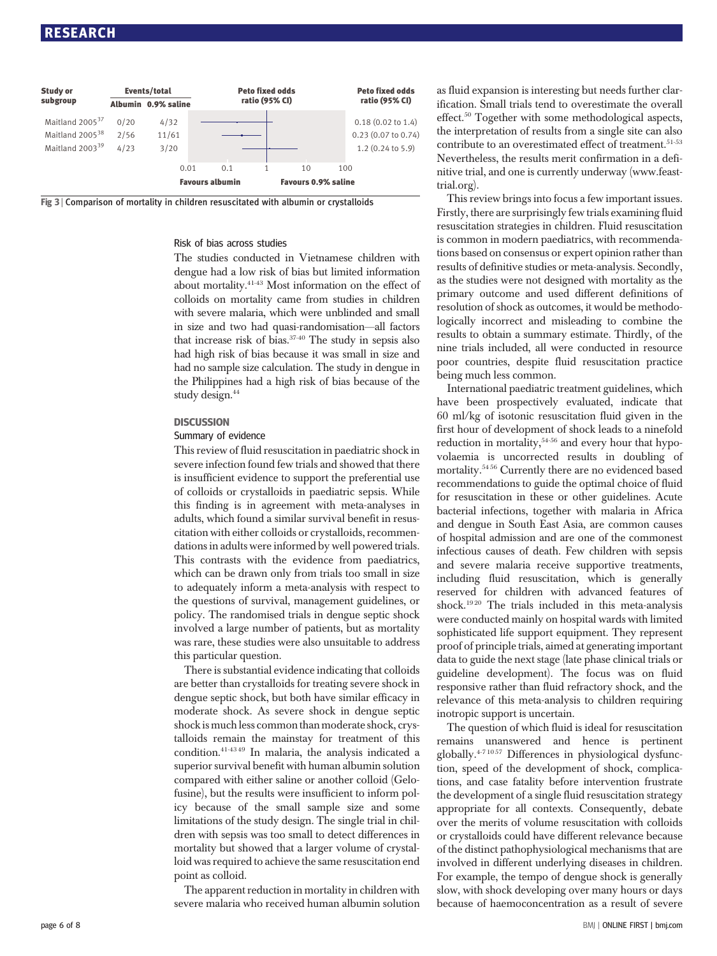### **RESEARCH** <u>researches</u>





## Risk of bias across studies

The studies conducted in Vietnamese children with dengue had a low risk of bias but limited information about mortality.41-43 Most information on the effect of colloids on mortality came from studies in children with severe malaria, which were unblinded and small in size and two had quasi-randomisation—all factors that increase risk of bias. $37-40$  The study in sepsis also had high risk of bias because it was small in size and had no sample size calculation. The study in dengue in the Philippines had a high risk of bias because of the study design.<sup>44</sup>

## **Summary of evidence**

This review of fluid resuscitation in paediatric shock in severe infection found few trials and showed that there is insufficient evidence to support the preferential use of colloids or crystalloids in paediatric sepsis. While this finding is in agreement with meta-analyses in adults, which found a similar survival benefit in resuscitation with either colloids or crystalloids, recommendations in adults were informed by well powered trials. This contrasts with the evidence from paediatrics, which can be drawn only from trials too small in size to adequately inform a meta-analysis with respect to the questions of survival, management guidelines, or policy. The randomised trials in dengue septic shock involved a large number of patients, but as mortality was rare, these studies were also unsuitable to address this particular question.

There is substantial evidence indicating that colloids are better than crystalloids for treating severe shock in dengue septic shock, but both have similar efficacy in moderate shock. As severe shock in dengue septic shock is much less common than moderate shock, crystalloids remain the mainstay for treatment of this condition.41-43 49 In malaria, the analysis indicated a superior survival benefit with human albumin solution compared with either saline or another colloid (Gelofusine), but the results were insufficient to inform policy because of the small sample size and some limitations of the study design. The single trial in children with sepsis was too small to detect differences in mortality but showed that a larger volume of crystalloid was required to achieve the same resuscitation end point as colloid.

The apparent reduction in mortality in children with severe malaria who received human albumin solution as fluid expansion is interesting but needs further clarification. Small trials tend to overestimate the overall effect.50 Together with some methodological aspects, the interpretation of results from a single site can also contribute to an overestimated effect of treatment.<sup>51-53</sup> Nevertheless, the results merit confirmation in a definitive trial, and one is currently underway (www.feasttrial.org).

This review brings into focus a few important issues. Firstly, there are surprisingly few trials examining fluid resuscitation strategies in children. Fluid resuscitation is common in modern paediatrics, with recommendations based on consensus or expert opinion rather than results of definitive studies or meta-analysis. Secondly, as the studies were not designed with mortality as the primary outcome and used different definitions of resolution of shock as outcomes, it would be methodologically incorrect and misleading to combine the results to obtain a summary estimate. Thirdly, of the nine trials included, all were conducted in resource poor countries, despite fluid resuscitation practice being much less common.

International paediatric treatment guidelines, which have been prospectively evaluated, indicate that 60 ml/kg of isotonic resuscitation fluid given in the first hour of development of shock leads to a ninefold reduction in mortality,<sup>54-56</sup> and every hour that hypovolaemia is uncorrected results in doubling of mortality.54 56 Currently there are no evidenced based recommendations to guide the optimal choice of fluid for resuscitation in these or other guidelines. Acute bacterial infections, together with malaria in Africa and dengue in South East Asia, are common causes of hospital admission and are one of the commonest infectious causes of death. Few children with sepsis and severe malaria receive supportive treatments, including fluid resuscitation, which is generally reserved for children with advanced features of shock.<sup>1920</sup> The trials included in this meta-analysis were conducted mainly on hospital wards with limited sophisticated life support equipment. They represent proof of principle trials, aimed at generating important data to guide the next stage (late phase clinical trials or guideline development). The focus was on fluid responsive rather than fluid refractory shock, and the relevance of this meta-analysis to children requiring inotropic support is uncertain.

The question of which fluid is ideal for resuscitation remains unanswered and hence is pertinent globally.<sup>4-71057</sup> Differences in physiological dysfunction, speed of the development of shock, complications, and case fatality before intervention frustrate the development of a single fluid resuscitation strategy appropriate for all contexts. Consequently, debate over the merits of volume resuscitation with colloids or crystalloids could have different relevance because of the distinct pathophysiological mechanisms that are involved in different underlying diseases in children. For example, the tempo of dengue shock is generally slow, with shock developing over many hours or days because of haemoconcentration as a result of severe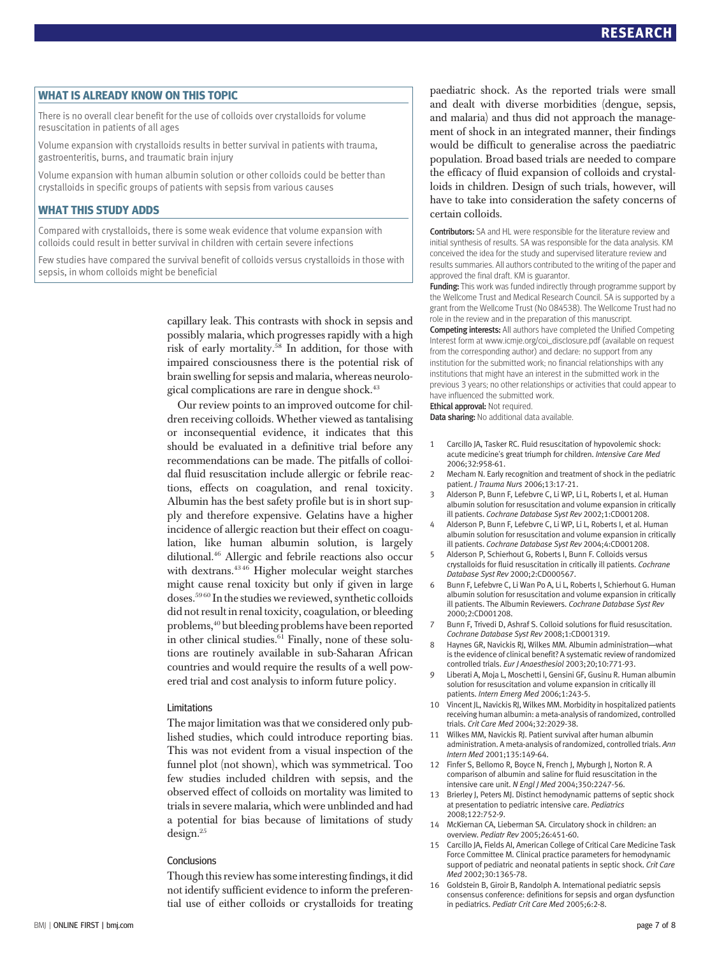WHAT IS ALREADY KNOW ON THIS TOPIC There is no overall clear benefit for the use of colloids over crystalloids for volume resuscitation in patients of all ages

Volume expansion with crystalloids results in better survival in patients with trauma, gastroenteritis, burns, and traumatic brain injury

Volume expansion with human albumin solution or other colloids could be better than crystalloids in specific groups of patients with sepsis from various causes

WHAT THIS STUDY ADDS Compared with crystalloids, there is some weak evidence that volume expansion with colloids could result in better survival in children with certain severe infections

Few studies have compared the survival benefit of colloids versus crystalloids in those with sepsis, in whom colloids might be beneficial

> capillary leak. This contrasts with shock in sepsis and possibly malaria, which progresses rapidly with a high risk of early mortality.58 In addition, for those with impaired consciousness there is the potential risk of brain swelling for sepsis and malaria, whereas neurological complications are rare in dengue shock.<sup>43</sup>

> Our review points to an improved outcome for children receiving colloids. Whether viewed as tantalising or inconsequential evidence, it indicates that this should be evaluated in a definitive trial before any recommendations can be made. The pitfalls of colloidal fluid resuscitation include allergic or febrile reactions, effects on coagulation, and renal toxicity. Albumin has the best safety profile but is in short supply and therefore expensive. Gelatins have a higher incidence of allergic reaction but their effect on coagulation, like human albumin solution, is largely dilutional.46 Allergic and febrile reactions also occur with dextrans.<sup>4346</sup> Higher molecular weight starches might cause renal toxicity but only if given in large doses.59 60 In the studies we reviewed, synthetic colloids did not result in renal toxicity, coagulation, or bleeding problems,40 but bleeding problems have been reported in other clinical studies.<sup>61</sup> Finally, none of these solutions are routinely available in sub-Saharan African countries and would require the results of a well powered trial and cost analysis to inform future policy.

#### Limitations

The major limitation was that we considered only published studies, which could introduce reporting bias. This was not evident from a visual inspection of the funnel plot (not shown), which was symmetrical. Too few studies included children with sepsis, and the observed effect of colloids on mortality was limited to trials in severe malaria, which were unblinded and had a potential for bias because of limitations of study design.25

#### **Conclusions**

Though this review has some interesting findings, it did not identify sufficient evidence to inform the preferential use of either colloids or crystalloids for treating paediatric shock. As the reported trials were small and dealt with diverse morbidities (dengue, sepsis, and malaria) and thus did not approach the management of shock in an integrated manner, their findings would be difficult to generalise across the paediatric population. Broad based trials are needed to compare the efficacy of fluid expansion of colloids and crystalloids in children. Design of such trials, however, will have to take into consideration the safety concerns of certain colloids.

Contributors: SA and HL were responsible for the literature review and initial synthesis of results. SA was responsible for the data analysis. KM conceived the idea for the study and supervised literature review and results summaries. All authors contributed to the writing of the paper and approved the final draft. KM is guarantor.

Funding: This work was funded indirectly through programme support by the Wellcome Trust and Medical Research Council. SA is supported by a grant from the Wellcome Trust (No 084538). The Wellcome Trust had no role in the review and in the preparation of this manuscript.

Competing interests: All authors have completed the Unified Competing Interest form at www.icmje.org/coi\_disclosure.pdf (available on request from the corresponding author) and declare: no support from any institution for the submitted work; no financial relationships with any institutions that might have an interest in the submitted work in the previous 3 years; no other relationships or activities that could appear to have influenced the submitted work.

Ethical approval: Not required.

Data sharing: No additional data available.

- 1 Carcillo JA, Tasker RC. Fluid resuscitation of hypovolemic shock: acute medicine's great triumph for children. Intensive Care Med 2006;32:958-61.
- 2 Mecham N. Early recognition and treatment of shock in the pediatric patient. J Trauma Nurs 2006;13:17-21.
- 3 Alderson P, Bunn F, Lefebvre C, Li WP, Li L, Roberts I, et al. Human albumin solution for resuscitation and volume expansion in critically ill patients. Cochrane Database Syst Rev 2002;1:CD001208.
- Alderson P, Bunn F, Lefebvre C, Li WP, Li L, Roberts I, et al. Human albumin solution for resuscitation and volume expansion in critically ill patients. Cochrane Database Syst Rev 2004;4:CD001208.
- 5 Alderson P, Schierhout G, Roberts I, Bunn F. Colloids versus crystalloids for fluid resuscitation in critically ill patients. Cochrane Database Syst Rev 2000;2:CD000567.
- 6 Bunn F, Lefebvre C, Li Wan Po A, Li L, Roberts I, Schierhout G. Human albumin solution for resuscitation and volume expansion in critically ill patients. The Albumin Reviewers. Cochrane Database Syst Rev 2000:2:CD001208
- 7 Bunn F, Trivedi D, Ashraf S. Colloid solutions for fluid resuscitation. Cochrane Database Syst Rev 2008;1:CD001319.
- 8 Haynes GR, Navickis RJ, Wilkes MM. Albumin administration—what is the evidence of clinical benefit? A systematic review of randomized controlled trials. Eur J Anaesthesiol 2003;20;10:771-93.
- 9 Liberati A, Moja L, Moschetti I, Gensini GF, Gusinu R. Human albumin solution for resuscitation and volume expansion in critically ill patients. Intern Emerg Med 2006;1:243-5.
- 10 Vincent JL, Navickis RJ, Wilkes MM. Morbidity in hospitalized patients receiving human albumin: a meta-analysis of randomized, controlled trials. Crit Care Med 2004;32:2029-38.
- 11 Wilkes MM, Navickis RJ. Patient survival after human albumin administration. A meta-analysis of randomized, controlled trials. Ann Intern Med 2001;135:149-64.
- 12 Finfer S, Bellomo R, Boyce N, French J, Myburgh J, Norton R. A comparison of albumin and saline for fluid resuscitation in the intensive care unit. N Engl J Med 2004;350:2247-56.
- 13 Brierley J, Peters MJ. Distinct hemodynamic patterns of septic shock at presentation to pediatric intensive care. Pediatrics 2008;122:752-9.
- 14 McKiernan CA, Lieberman SA. Circulatory shock in children: an overview. Pediatr Rev 2005;26:451-60.
- 15 Carcillo JA, Fields AI, American College of Critical Care Medicine Task Force Committee M. Clinical practice parameters for hemodynamic support of pediatric and neonatal patients in septic shock. Crit Care Med 2002;30:1365-78.
- 16 Goldstein B, Giroir B, Randolph A. International pediatric sepsis consensus conference: definitions for sepsis and organ dysfunction in pediatrics. Pediatr Crit Care Med 2005;6:2-8.